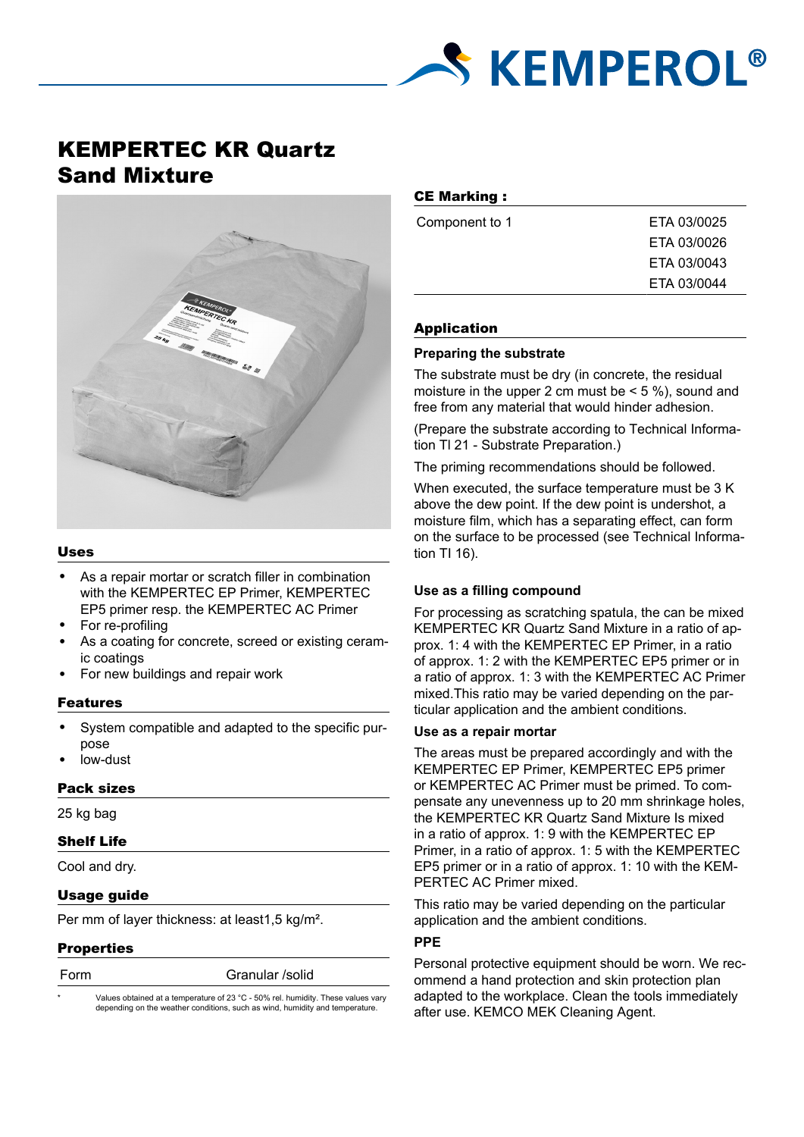

# KEMPERTEC KR Quartz Sand Mixture



#### Uses

- As a repair mortar or scratch filler in combination with the KEMPERTEC EP Primer, KEMPERTEC EP5 primer resp. the KEMPERTEC AC Primer
- For re-profiling
- As a coating for concrete, screed or existing ceramic coatings
- For new buildings and repair work

#### Features

- System compatible and adapted to the specific purpose
- low-dust

# Pack sizes

25 kg bag

# Shelf Life

Cool and dry.

# Usage guide

Per mm of layer thickness: at least1,5 kg/m².

#### **Properties**

| ×<br>۰. |  |  |
|---------|--|--|

Granular /solid

Values obtained at a temperature of 23 °C - 50% rel. humidity. These values vary depending on the weather conditions, such as wind, humidity and temperature.

# CE Marking :

| Component to 1 | ETA 03/0025 |
|----------------|-------------|
|                | ETA 03/0026 |
|                | ETA 03/0043 |
|                | ETA 03/0044 |
|                |             |

#### Application

#### **Preparing the substrate**

The substrate must be dry (in concrete, the residual moisture in the upper 2 cm must be  $<$  5 %), sound and free from any material that would hinder adhesion.

(Prepare the substrate according to Technical Information Tl 21 - Substrate Preparation.)

The priming recommendations should be followed.

When executed, the surface temperature must be 3 K above the dew point. If the dew point is undershot, a moisture film, which has a separating effect, can form on the surface to be processed (see Technical Information TI 16).

# **Use as a filling compound**

For processing as scratching spatula, the can be mixed KEMPERTEC KR Quartz Sand Mixture in a ratio of approx. 1: 4 with the KEMPERTEC EP Primer, in a ratio of approx. 1: 2 with the KEMPERTEC EP5 primer or in a ratio of approx. 1: 3 with the KEMPERTEC AC Primer mixed.This ratio may be varied depending on the particular application and the ambient conditions.

# **Use as a repair mortar**

The areas must be prepared accordingly and with the KEMPERTEC EP Primer, KEMPERTEC EP5 primer or KEMPERTEC AC Primer must be primed. To compensate any unevenness up to 20 mm shrinkage holes, the KEMPERTEC KR Quartz Sand Mixture Is mixed in a ratio of approx. 1: 9 with the KEMPERTEC EP Primer, in a ratio of approx. 1: 5 with the KEMPERTEC EP5 primer or in a ratio of approx. 1: 10 with the KEM-PERTEC AC Primer mixed.

This ratio may be varied depending on the particular application and the ambient conditions.

# **PPE**

Personal protective equipment should be worn. We recommend a hand protection and skin protection plan adapted to the workplace. Clean the tools immediately after use. KEMCO MEK Cleaning Agent.